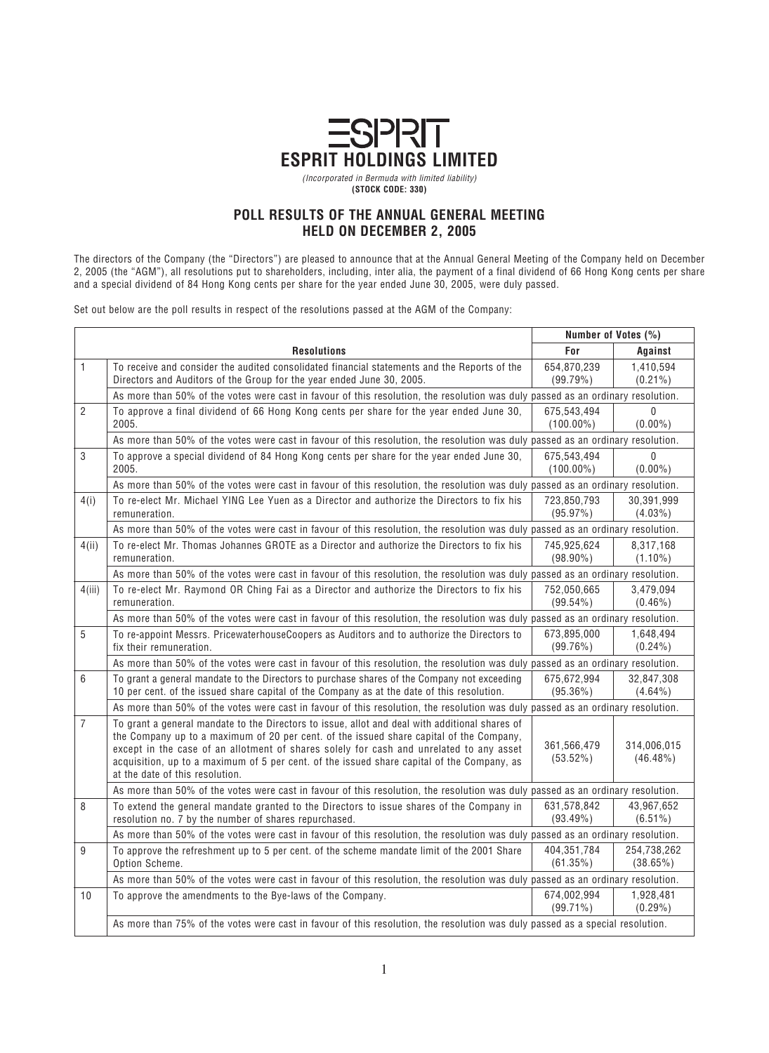

## **POLL RESULTS OF THE ANNUAL GENERAL MEETING HELD ON DECEMBER 2, 2005**

*The directors of the Company (the "Directors") are pleased to announce that at the Annual General Meeting of the Company held on December 2, 2005 (the "AGM"), all resolutions put to shareholders, including, inter alia, the payment of a final dividend of 66 Hong Kong cents per share and a special dividend of 84 Hong Kong cents per share for the year ended June 30, 2005, were duly passed.*

*Set out below are the poll results in respect of the resolutions passed at the AGM of the Company:*

|                |                                                                                                                                                                                                                                                                                                                                                                                                                       | Number of Votes (%)                                                                                                             |                            |  |
|----------------|-----------------------------------------------------------------------------------------------------------------------------------------------------------------------------------------------------------------------------------------------------------------------------------------------------------------------------------------------------------------------------------------------------------------------|---------------------------------------------------------------------------------------------------------------------------------|----------------------------|--|
|                | <b>Resolutions</b>                                                                                                                                                                                                                                                                                                                                                                                                    | For                                                                                                                             | <b>Against</b>             |  |
| 1              | To receive and consider the audited consolidated financial statements and the Reports of the<br>Directors and Auditors of the Group for the year ended June 30, 2005.                                                                                                                                                                                                                                                 | 654,870,239<br>(99.79%)                                                                                                         | 1,410,594<br>$(0.21\%)$    |  |
|                | As more than 50% of the votes were cast in favour of this resolution, the resolution was duly passed as an ordinary resolution.                                                                                                                                                                                                                                                                                       |                                                                                                                                 |                            |  |
| $\overline{c}$ | To approve a final dividend of 66 Hong Kong cents per share for the year ended June 30,<br>2005.                                                                                                                                                                                                                                                                                                                      | 675,543,494<br>$(100.00\%)$                                                                                                     | $\Omega$<br>$(0.00\%)$     |  |
|                | As more than 50% of the votes were cast in favour of this resolution, the resolution was duly passed as an ordinary resolution.                                                                                                                                                                                                                                                                                       |                                                                                                                                 |                            |  |
| 3              | To approve a special dividend of 84 Hong Kong cents per share for the year ended June 30,<br>2005.                                                                                                                                                                                                                                                                                                                    | 675,543,494<br>$(100.00\%)$                                                                                                     | <sup>0</sup><br>$(0.00\%)$ |  |
|                | As more than 50% of the votes were cast in favour of this resolution, the resolution was duly passed as an ordinary resolution.                                                                                                                                                                                                                                                                                       |                                                                                                                                 |                            |  |
| 4(i)           | To re-elect Mr. Michael YING Lee Yuen as a Director and authorize the Directors to fix his<br>remuneration.                                                                                                                                                                                                                                                                                                           | 723,850,793<br>$(95.97\%)$                                                                                                      | 30,391,999<br>$(4.03\%)$   |  |
|                |                                                                                                                                                                                                                                                                                                                                                                                                                       | As more than 50% of the votes were cast in favour of this resolution, the resolution was duly passed as an ordinary resolution. |                            |  |
| 4(ii)          | To re-elect Mr. Thomas Johannes GROTE as a Director and authorize the Directors to fix his<br>remuneration.                                                                                                                                                                                                                                                                                                           | 745,925,624<br>$(98.90\%)$                                                                                                      | 8,317,168<br>$(1.10\%)$    |  |
|                | As more than 50% of the votes were cast in favour of this resolution, the resolution was duly passed as an ordinary resolution.                                                                                                                                                                                                                                                                                       |                                                                                                                                 |                            |  |
| 4(iii)         | To re-elect Mr. Raymond OR Ching Fai as a Director and authorize the Directors to fix his<br>remuneration.                                                                                                                                                                                                                                                                                                            | 752,050,665<br>$(99.54\%)$                                                                                                      | 3,479,094<br>$(0.46\%)$    |  |
|                |                                                                                                                                                                                                                                                                                                                                                                                                                       | As more than 50% of the votes were cast in favour of this resolution, the resolution was duly passed as an ordinary resolution. |                            |  |
| 5              | To re-appoint Messrs. PricewaterhouseCoopers as Auditors and to authorize the Directors to<br>fix their remuneration.                                                                                                                                                                                                                                                                                                 | 673,895,000<br>(99.76%)                                                                                                         | 1.648.494<br>$(0.24\%)$    |  |
|                | As more than 50% of the votes were cast in favour of this resolution, the resolution was duly passed as an ordinary resolution.                                                                                                                                                                                                                                                                                       |                                                                                                                                 |                            |  |
| 6              | To grant a general mandate to the Directors to purchase shares of the Company not exceeding<br>10 per cent. of the issued share capital of the Company as at the date of this resolution.                                                                                                                                                                                                                             | 675,672,994<br>$(95.36\%)$                                                                                                      | 32,847,308<br>$(4.64\%)$   |  |
|                | As more than 50% of the votes were cast in favour of this resolution, the resolution was duly passed as an ordinary resolution.                                                                                                                                                                                                                                                                                       |                                                                                                                                 |                            |  |
| $\overline{7}$ | To grant a general mandate to the Directors to issue, allot and deal with additional shares of<br>the Company up to a maximum of 20 per cent. of the issued share capital of the Company,<br>except in the case of an allotment of shares solely for cash and unrelated to any asset<br>acquisition, up to a maximum of 5 per cent. of the issued share capital of the Company, as<br>at the date of this resolution. | 361,566,479<br>$(53.52\%)$                                                                                                      | 314,006,015<br>$(46.48\%)$ |  |
|                | As more than 50% of the votes were cast in favour of this resolution, the resolution was duly passed as an ordinary resolution.                                                                                                                                                                                                                                                                                       |                                                                                                                                 |                            |  |
| 8              | To extend the general mandate granted to the Directors to issue shares of the Company in<br>resolution no. 7 by the number of shares repurchased.                                                                                                                                                                                                                                                                     | 631,578,842<br>$(93.49\%)$                                                                                                      | 43,967,652<br>$(6.51\%)$   |  |
|                | As more than 50% of the votes were cast in favour of this resolution, the resolution was duly passed as an ordinary resolution.                                                                                                                                                                                                                                                                                       |                                                                                                                                 |                            |  |
| 9              | To approve the refreshment up to 5 per cent. of the scheme mandate limit of the 2001 Share<br>Option Scheme.                                                                                                                                                                                                                                                                                                          | 404,351,784<br>(61.35%)                                                                                                         | 254,738,262<br>$(38.65\%)$ |  |
|                | As more than 50% of the votes were cast in favour of this resolution, the resolution was duly passed as an ordinary resolution.                                                                                                                                                                                                                                                                                       |                                                                                                                                 |                            |  |
| 10             | To approve the amendments to the Bye-laws of the Company.                                                                                                                                                                                                                                                                                                                                                             | 674,002,994<br>$(99.71\%)$                                                                                                      | 1,928,481<br>$(0.29\%)$    |  |
|                | As more than 75% of the votes were cast in favour of this resolution, the resolution was duly passed as a special resolution.                                                                                                                                                                                                                                                                                         |                                                                                                                                 |                            |  |